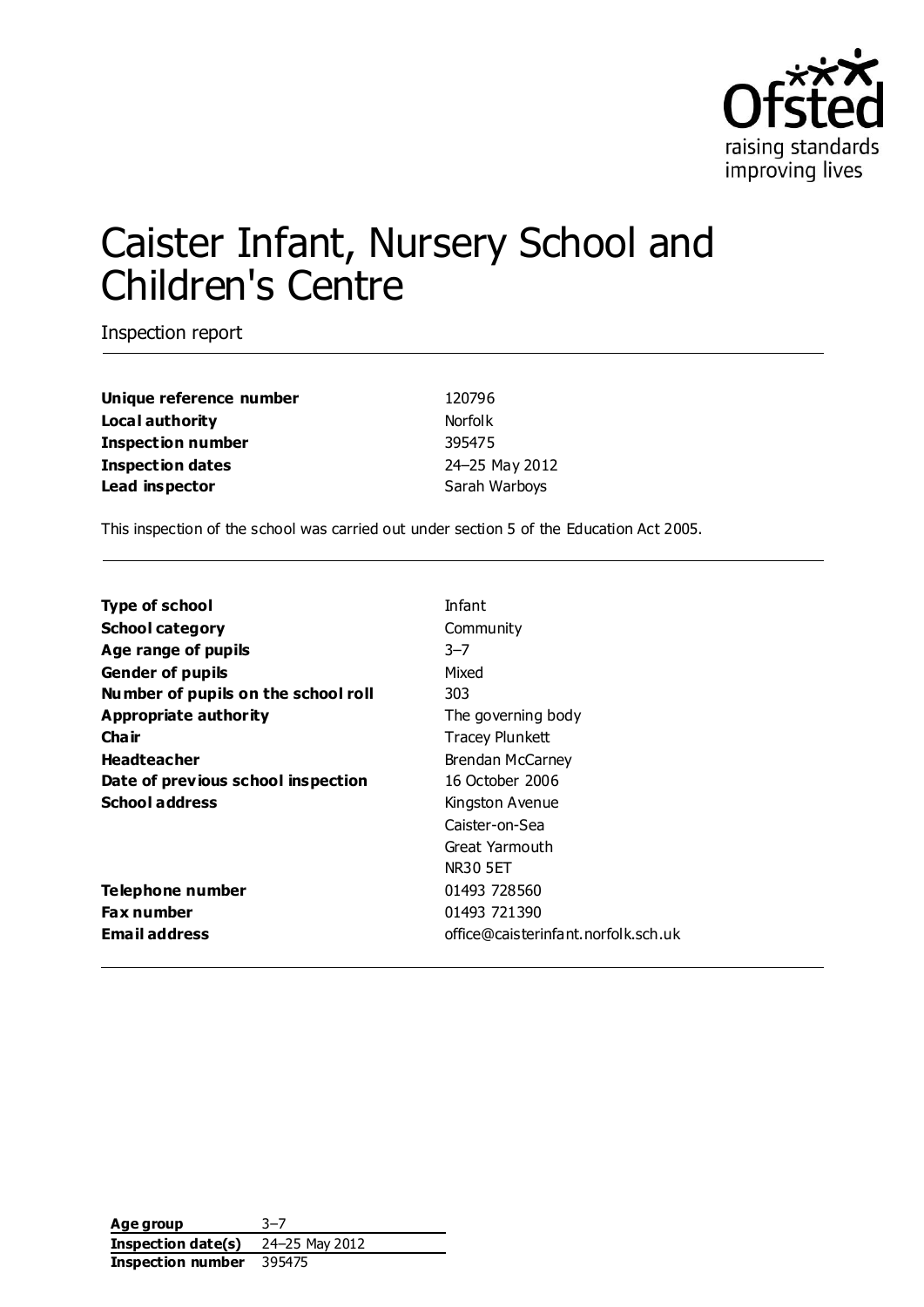

# Caister Infant, Nursery School and Children's Centre

Inspection report

**Unique reference number** 120796 **Local authority** Norfolk **Inspection number** 395475 **Inspection dates** 24–25 May 2012 **Lead inspector** Sarah Warboys

This inspection of the school was carried out under section 5 of the Education Act 2005.

| <b>Type of school</b>               | Infant                              |
|-------------------------------------|-------------------------------------|
| <b>School category</b>              | Community                           |
| Age range of pupils                 | $3 - 7$                             |
| <b>Gender of pupils</b>             | Mixed                               |
| Number of pupils on the school roll | 303                                 |
| Appropriate authority               | The governing body                  |
| Cha ir                              | Tracey Plunkett                     |
| <b>Headteacher</b>                  | Brendan McCarney                    |
| Date of previous school inspection  | 16 October 2006                     |
| <b>School address</b>               | Kingston Avenue                     |
|                                     | Caister-on-Sea                      |
|                                     | Great Yarmouth                      |
|                                     | NR30 5ET                            |
| Telephone number                    | 01493 728560                        |
| <b>Fax number</b>                   | 01493 721390                        |
| <b>Email address</b>                | office@caisterinfant.norfolk.sch.uk |

**Age group** 3–7 **Inspection date(s)** 24–25 May 2012 **Inspection number** 395475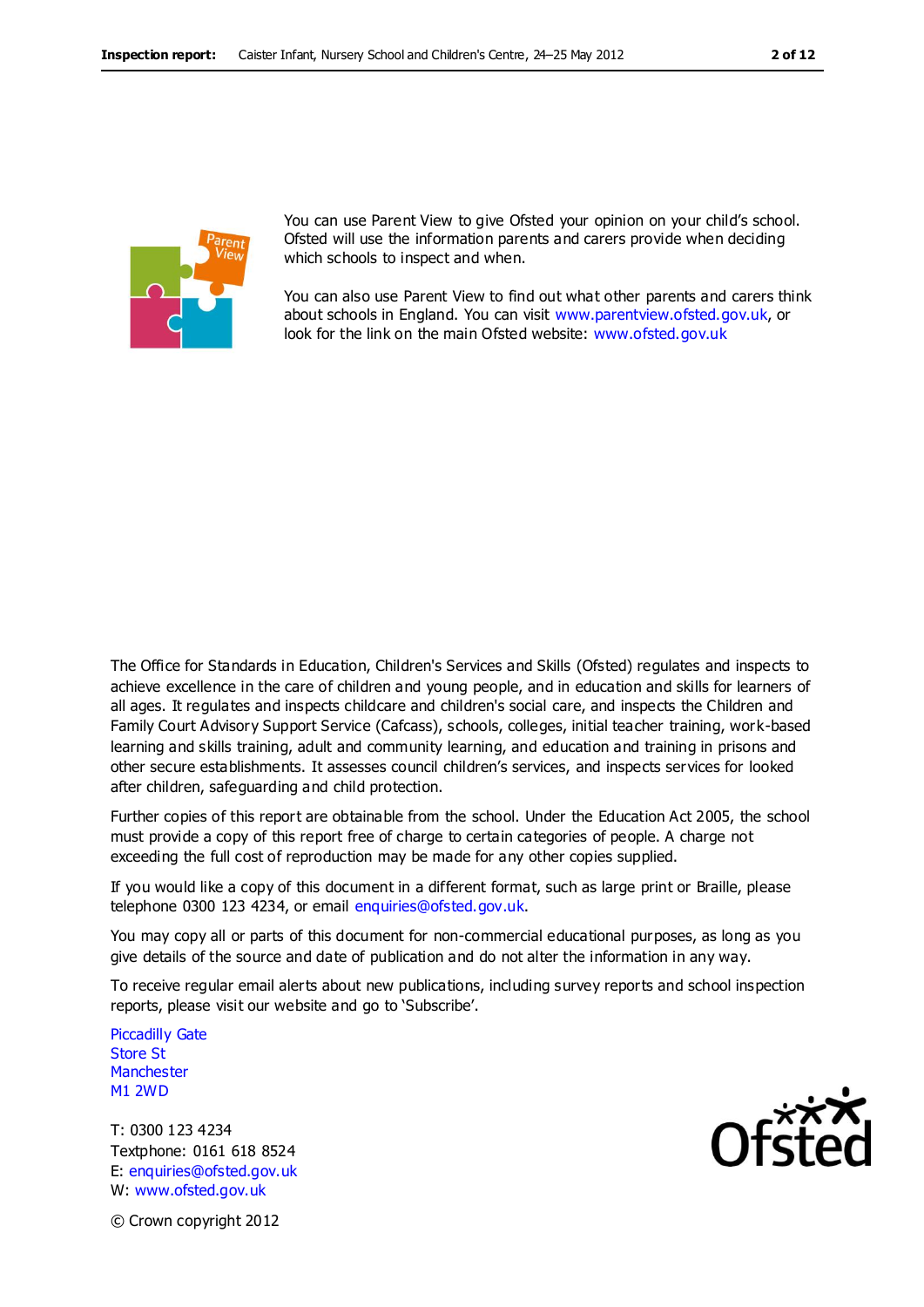

You can use Parent View to give Ofsted your opinion on your child's school. Ofsted will use the information parents and carers provide when deciding which schools to inspect and when.

You can also use Parent View to find out what other parents and carers think about schools in England. You can visit [www.parentview.ofsted.gov.uk,](http://www.parentview.ofsted.gov.uk/) or look for the link on the main Ofsted website: [www.ofsted.gov.uk](http://www.ofsted.gov.uk/)

The Office for Standards in Education, Children's Services and Skills (Ofsted) regulates and inspects to achieve excellence in the care of children and young people, and in education and skills for learners of all ages. It regulates and inspects childcare and children's social care, and inspects the Children and Family Court Advisory Support Service (Cafcass), schools, colleges, initial teacher training, work-based learning and skills training, adult and community learning, and education and training in prisons and other secure establishments. It assesses council children's services, and inspects services for looked after children, safeguarding and child protection.

Further copies of this report are obtainable from the school. Under the Education Act 2005, the school must provide a copy of this report free of charge to certain categories of people. A charge not exceeding the full cost of reproduction may be made for any other copies supplied.

If you would like a copy of this document in a different format, such as large print or Braille, please telephone 0300 123 4234, or email enquiries@ofsted.gov.uk.

You may copy all or parts of this document for non-commercial educational purposes, as long as you give details of the source and date of publication and do not alter the information in any way.

To receive regular email alerts about new publications, including survey reports and school inspection reports, please visit our website and go to 'Subscribe'.

Piccadilly Gate Store St **Manchester** M1 2WD

T: 0300 123 4234 Textphone: 0161 618 8524 E: enquiries@ofsted.gov.uk W: www.ofsted.gov.uk



© Crown copyright 2012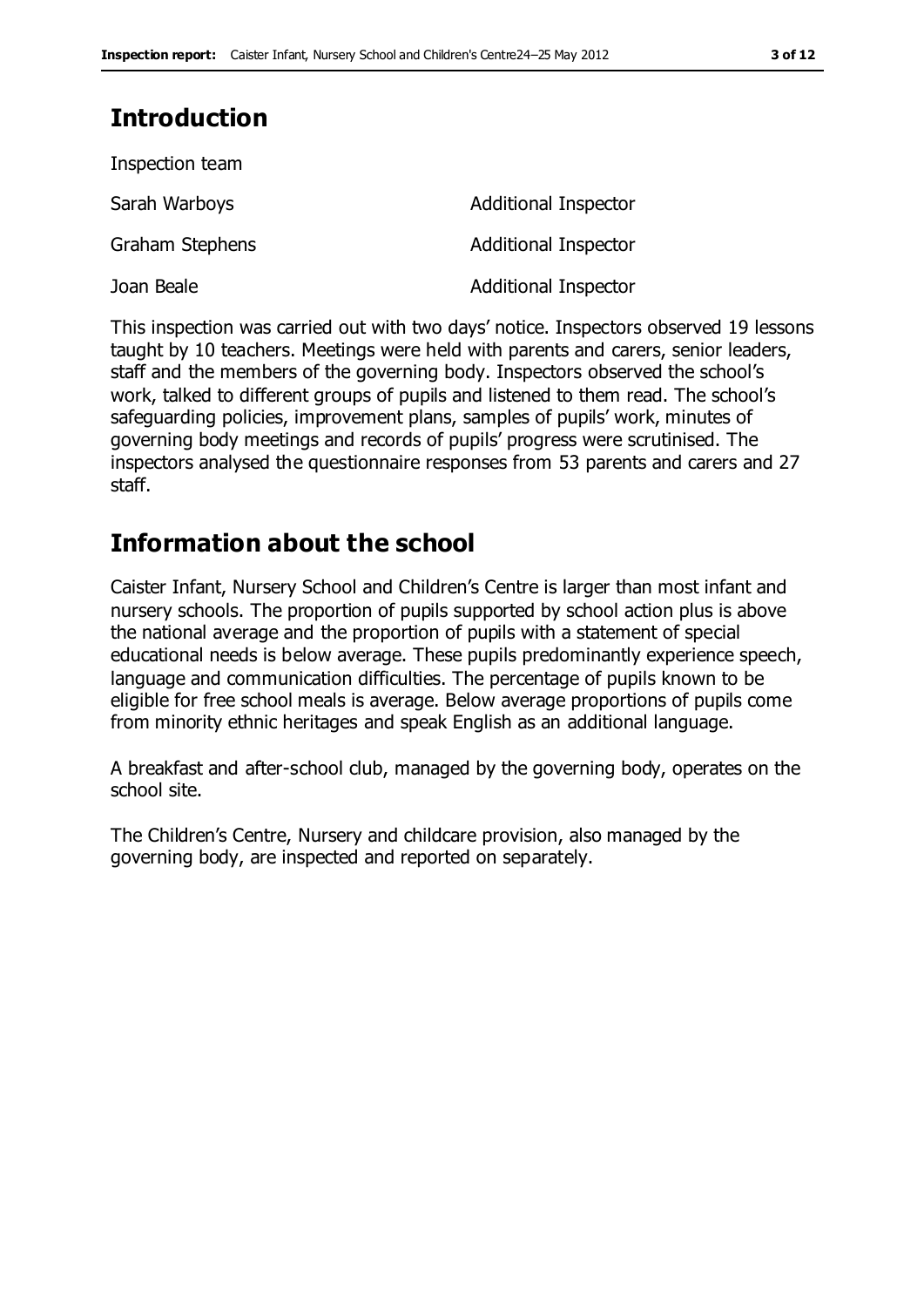# **Introduction**

| Inspection team |                             |
|-----------------|-----------------------------|
| Sarah Warboys   | Additional Inspector        |
| Graham Stephens | <b>Additional Inspector</b> |
| Joan Beale      | <b>Additional Inspector</b> |

This inspection was carried out with two days' notice. Inspectors observed 19 lessons taught by 10 teachers. Meetings were held with parents and carers, senior leaders, staff and the members of the governing body. Inspectors observed the school's work, talked to different groups of pupils and listened to them read. The school's safeguarding policies, improvement plans, samples of pupils' work, minutes of governing body meetings and records of pupils' progress were scrutinised. The inspectors analysed the questionnaire responses from 53 parents and carers and 27 staff.

## **Information about the school**

Caister Infant, Nursery School and Children's Centre is larger than most infant and nursery schools. The proportion of pupils supported by school action plus is above the national average and the proportion of pupils with a statement of special educational needs is below average. These pupils predominantly experience speech, language and communication difficulties. The percentage of pupils known to be eligible for free school meals is average. Below average proportions of pupils come from minority ethnic heritages and speak English as an additional language.

A breakfast and after-school club, managed by the governing body, operates on the school site.

The Children's Centre, Nursery and childcare provision, also managed by the governing body, are inspected and reported on separately.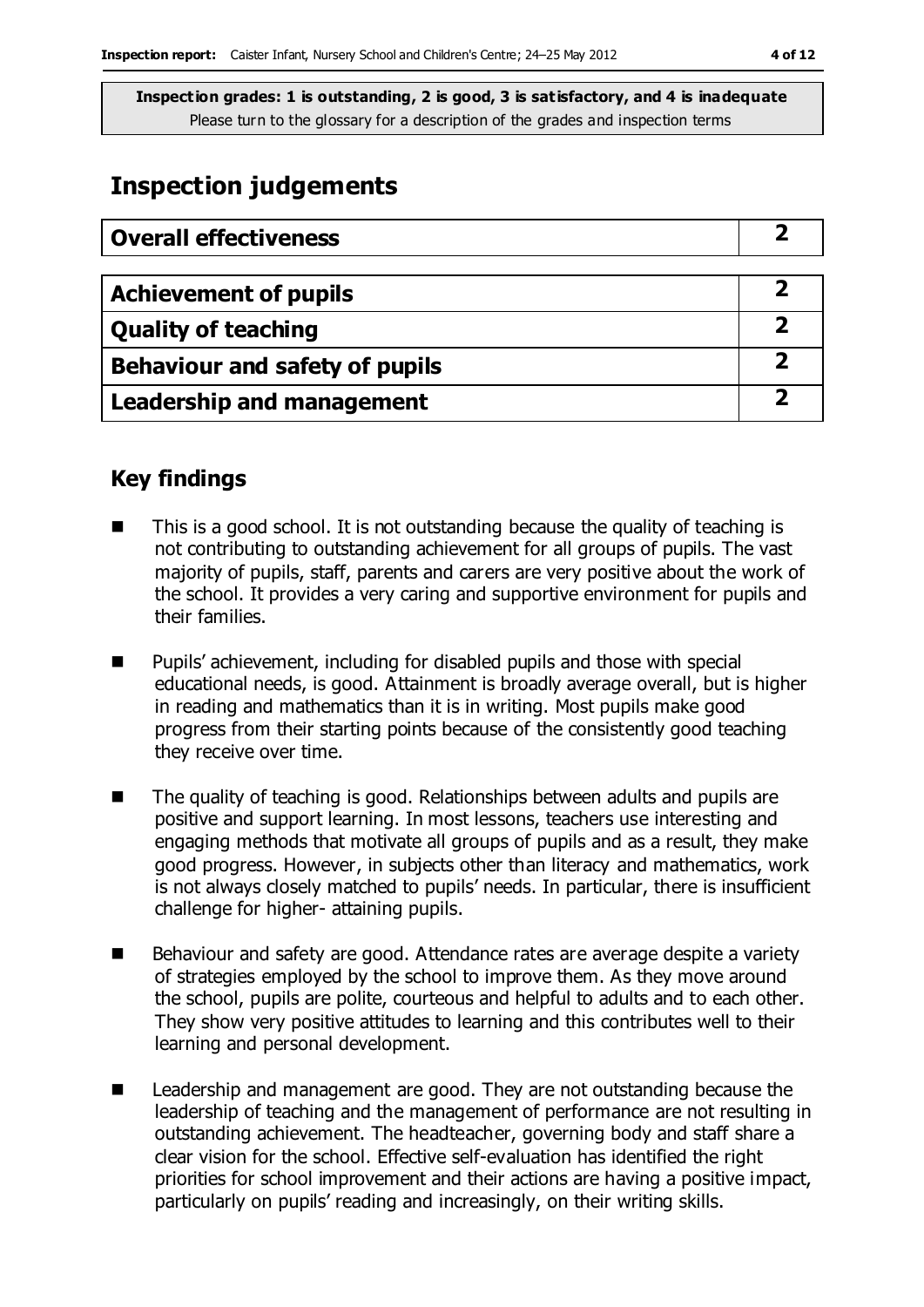# **Inspection judgements**

| <b>Overall effectiveness</b>     |  |
|----------------------------------|--|
|                                  |  |
| <b>Achievement of pupils</b>     |  |
| <b>Quality of teaching</b>       |  |
| Behaviour and safety of pupils   |  |
| <b>Leadership and management</b> |  |

### **Key findings**

- This is a good school. It is not outstanding because the quality of teaching is not contributing to outstanding achievement for all groups of pupils. The vast majority of pupils, staff, parents and carers are very positive about the work of the school. It provides a very caring and supportive environment for pupils and their families.
- Pupils' achievement, including for disabled pupils and those with special educational needs, is good. Attainment is broadly average overall, but is higher in reading and mathematics than it is in writing. Most pupils make good progress from their starting points because of the consistently good teaching they receive over time.
- The quality of teaching is good. Relationships between adults and pupils are positive and support learning. In most lessons, teachers use interesting and engaging methods that motivate all groups of pupils and as a result, they make good progress. However, in subjects other than literacy and mathematics, work is not always closely matched to pupils' needs. In particular, there is insufficient challenge for higher- attaining pupils.
- Behaviour and safety are good. Attendance rates are average despite a variety of strategies employed by the school to improve them. As they move around the school, pupils are polite, courteous and helpful to adults and to each other. They show very positive attitudes to learning and this contributes well to their learning and personal development.
- Leadership and management are good. They are not outstanding because the leadership of teaching and the management of performance are not resulting in outstanding achievement. The headteacher, governing body and staff share a clear vision for the school. Effective self-evaluation has identified the right priorities for school improvement and their actions are having a positive impact, particularly on pupils' reading and increasingly, on their writing skills.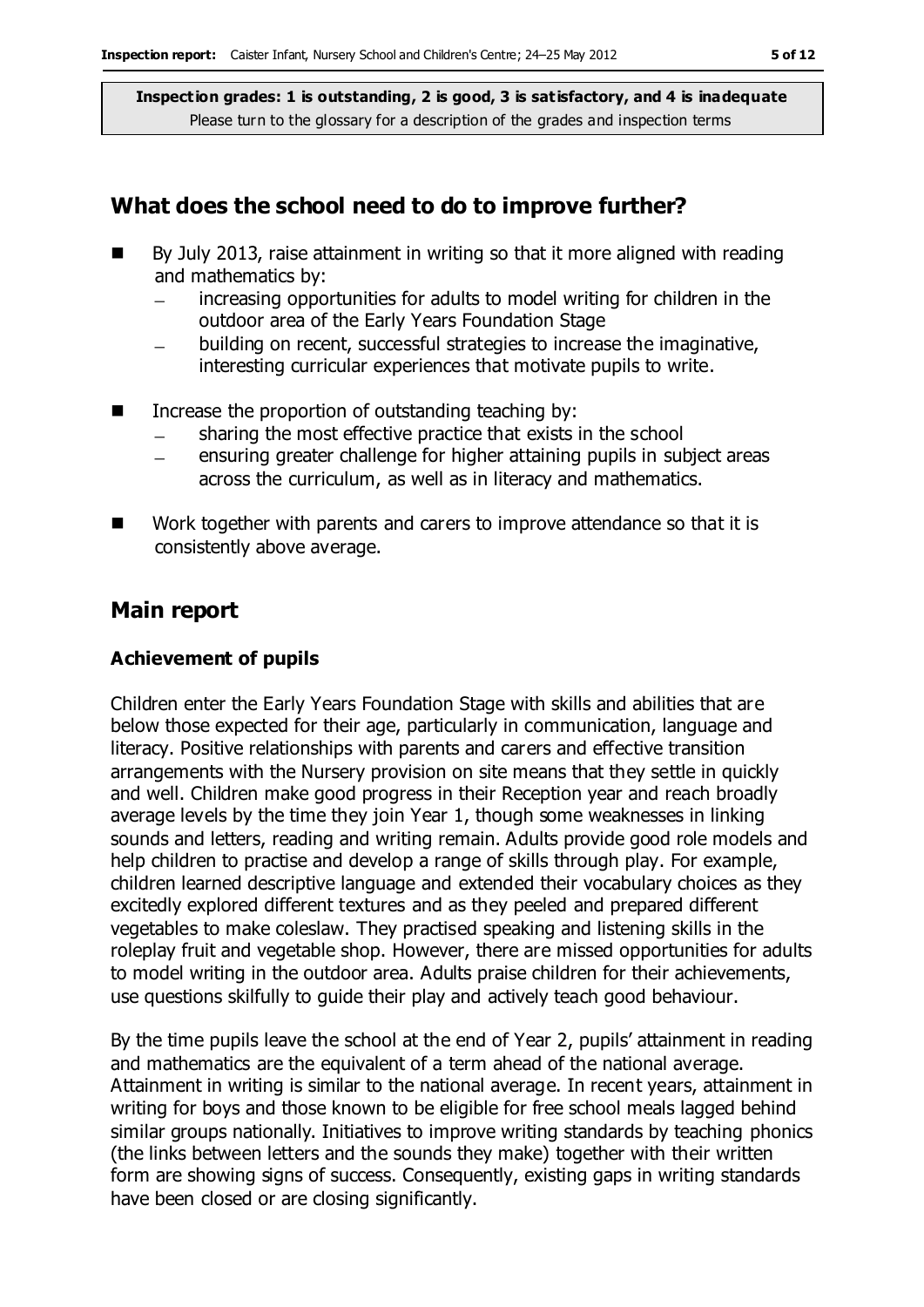### **What does the school need to do to improve further?**

- By July 2013, raise attainment in writing so that it more aligned with reading and mathematics by:
	- increasing opportunities for adults to model writing for children in the  $\equiv$ outdoor area of the Early Years Foundation Stage
	- building on recent, successful strategies to increase the imaginative, interesting curricular experiences that motivate pupils to write.
- $\blacksquare$  Increase the proportion of outstanding teaching by:
	- sharing the most effective practice that exists in the school
	- ensuring greater challenge for higher attaining pupils in subject areas across the curriculum, as well as in literacy and mathematics.
- Work together with parents and carers to improve attendance so that it is consistently above average.

### **Main report**

#### **Achievement of pupils**

Children enter the Early Years Foundation Stage with skills and abilities that are below those expected for their age, particularly in communication, language and literacy. Positive relationships with parents and carers and effective transition arrangements with the Nursery provision on site means that they settle in quickly and well. Children make good progress in their Reception year and reach broadly average levels by the time they join Year 1, though some weaknesses in linking sounds and letters, reading and writing remain. Adults provide good role models and help children to practise and develop a range of skills through play. For example, children learned descriptive language and extended their vocabulary choices as they excitedly explored different textures and as they peeled and prepared different vegetables to make coleslaw. They practised speaking and listening skills in the roleplay fruit and vegetable shop. However, there are missed opportunities for adults to model writing in the outdoor area. Adults praise children for their achievements, use questions skilfully to guide their play and actively teach good behaviour.

By the time pupils leave the school at the end of Year 2, pupils' attainment in reading and mathematics are the equivalent of a term ahead of the national average. Attainment in writing is similar to the national average. In recent years, attainment in writing for boys and those known to be eligible for free school meals lagged behind similar groups nationally. Initiatives to improve writing standards by teaching phonics (the links between letters and the sounds they make) together with their written form are showing signs of success. Consequently, existing gaps in writing standards have been closed or are closing significantly.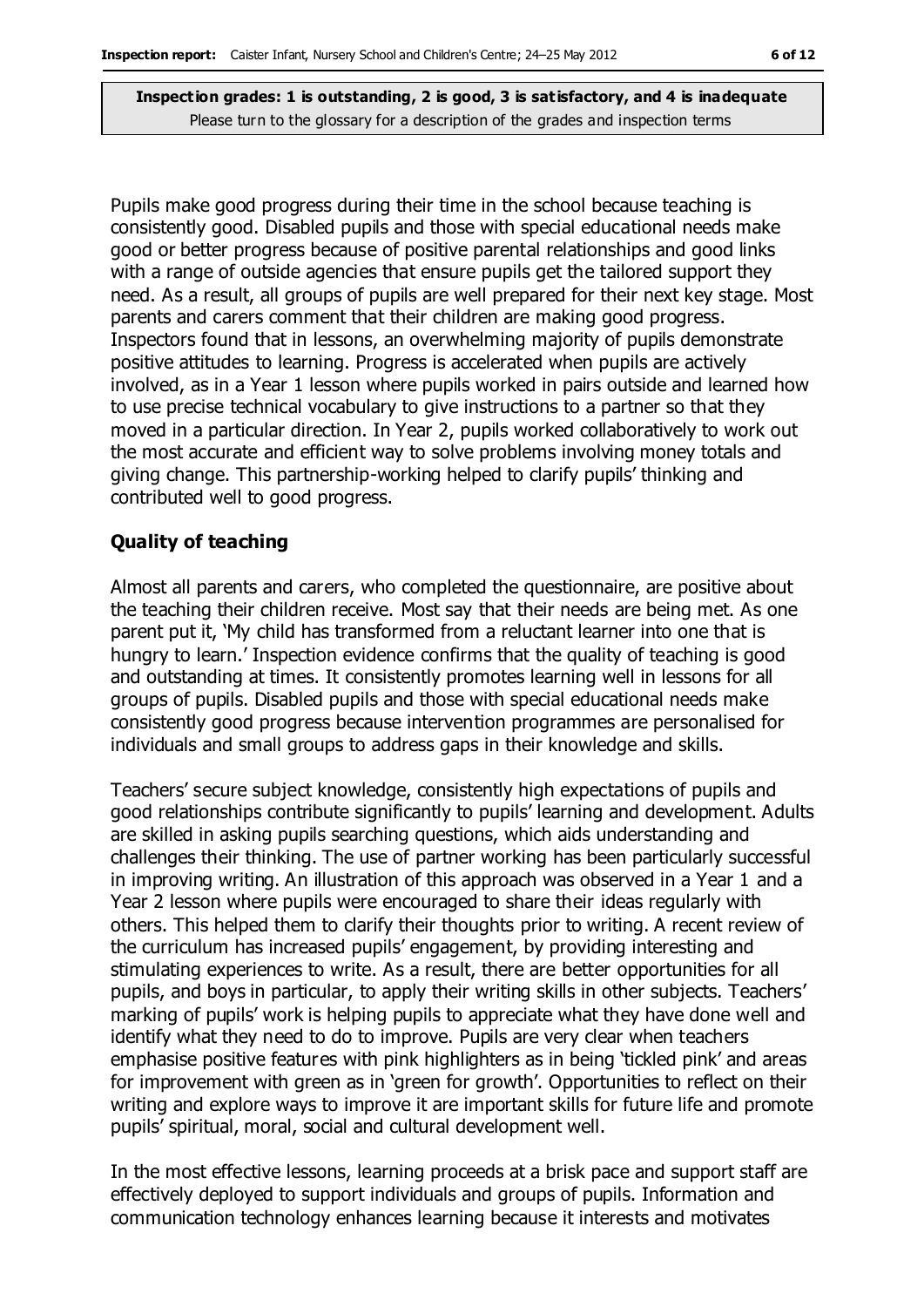Pupils make good progress during their time in the school because teaching is consistently good. Disabled pupils and those with special educational needs make good or better progress because of positive parental relationships and good links with a range of outside agencies that ensure pupils get the tailored support they need. As a result, all groups of pupils are well prepared for their next key stage. Most parents and carers comment that their children are making good progress. Inspectors found that in lessons, an overwhelming majority of pupils demonstrate positive attitudes to learning. Progress is accelerated when pupils are actively involved, as in a Year 1 lesson where pupils worked in pairs outside and learned how to use precise technical vocabulary to give instructions to a partner so that they moved in a particular direction. In Year 2, pupils worked collaboratively to work out the most accurate and efficient way to solve problems involving money totals and giving change. This partnership-working helped to clarify pupils' thinking and contributed well to good progress.

#### **Quality of teaching**

Almost all parents and carers, who completed the questionnaire, are positive about the teaching their children receive. Most say that their needs are being met. As one parent put it, 'My child has transformed from a reluctant learner into one that is hungry to learn.' Inspection evidence confirms that the quality of teaching is good and outstanding at times. It consistently promotes learning well in lessons for all groups of pupils. Disabled pupils and those with special educational needs make consistently good progress because intervention programmes are personalised for individuals and small groups to address gaps in their knowledge and skills.

Teachers' secure subject knowledge, consistently high expectations of pupils and good relationships contribute significantly to pupils' learning and development. Adults are skilled in asking pupils searching questions, which aids understanding and challenges their thinking. The use of partner working has been particularly successful in improving writing. An illustration of this approach was observed in a Year 1 and a Year 2 lesson where pupils were encouraged to share their ideas regularly with others. This helped them to clarify their thoughts prior to writing. A recent review of the curriculum has increased pupils' engagement, by providing interesting and stimulating experiences to write. As a result, there are better opportunities for all pupils, and boys in particular, to apply their writing skills in other subjects. Teachers' marking of pupils' work is helping pupils to appreciate what they have done well and identify what they need to do to improve. Pupils are very clear when teachers emphasise positive features with pink highlighters as in being 'tickled pink' and areas for improvement with green as in 'green for growth'. Opportunities to reflect on their writing and explore ways to improve it are important skills for future life and promote pupils' spiritual, moral, social and cultural development well.

In the most effective lessons, learning proceeds at a brisk pace and support staff are effectively deployed to support individuals and groups of pupils. Information and communication technology enhances learning because it interests and motivates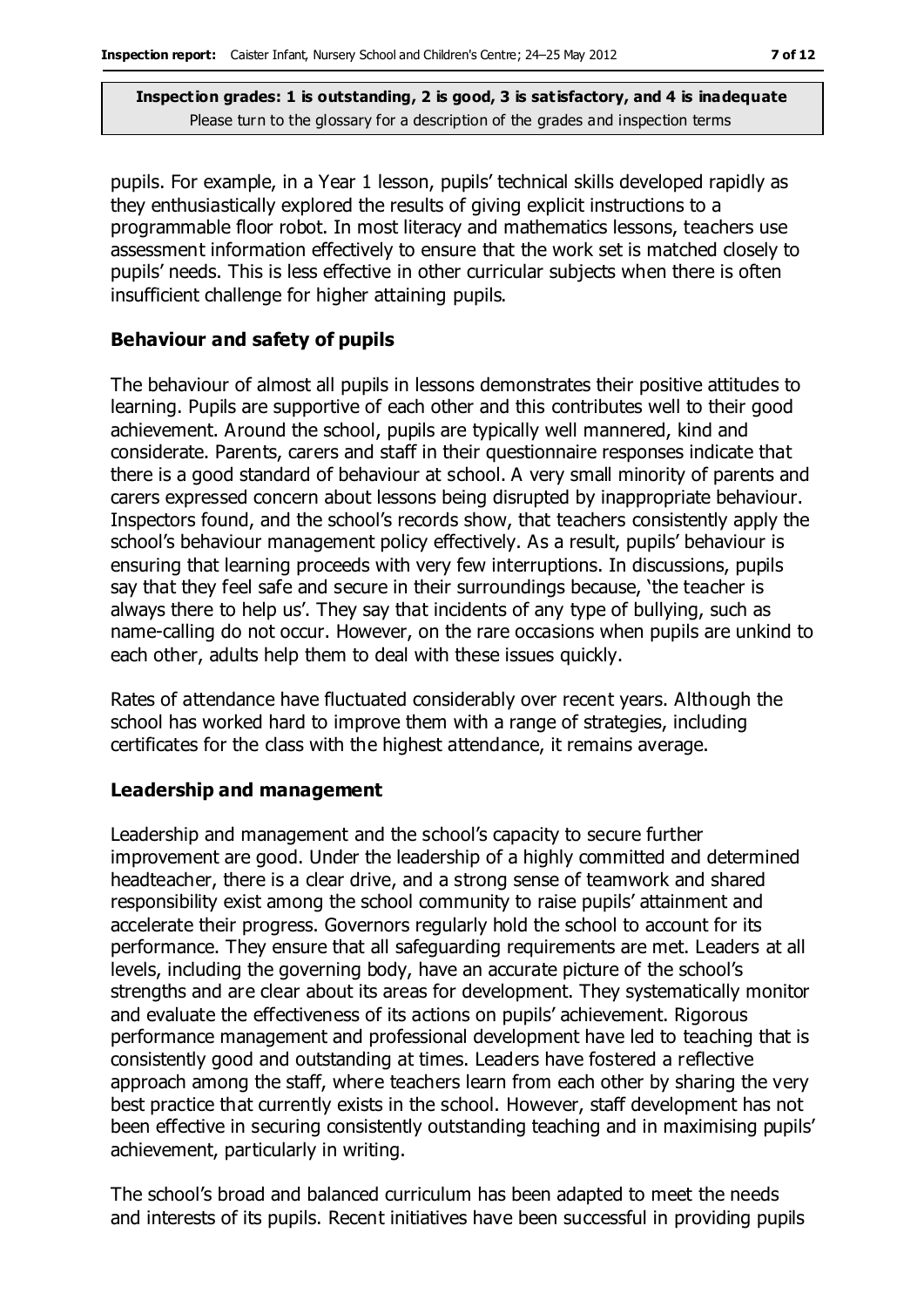pupils. For example, in a Year 1 lesson, pupils' technical skills developed rapidly as they enthusiastically explored the results of giving explicit instructions to a programmable floor robot. In most literacy and mathematics lessons, teachers use assessment information effectively to ensure that the work set is matched closely to pupils' needs. This is less effective in other curricular subjects when there is often insufficient challenge for higher attaining pupils.

#### **Behaviour and safety of pupils**

The behaviour of almost all pupils in lessons demonstrates their positive attitudes to learning. Pupils are supportive of each other and this contributes well to their good achievement. Around the school, pupils are typically well mannered, kind and considerate. Parents, carers and staff in their questionnaire responses indicate that there is a good standard of behaviour at school. A very small minority of parents and carers expressed concern about lessons being disrupted by inappropriate behaviour. Inspectors found, and the school's records show, that teachers consistently apply the school's behaviour management policy effectively. As a result, pupils' behaviour is ensuring that learning proceeds with very few interruptions. In discussions, pupils say that they feel safe and secure in their surroundings because, 'the teacher is always there to help us'. They say that incidents of any type of bullying, such as name-calling do not occur. However, on the rare occasions when pupils are unkind to each other, adults help them to deal with these issues quickly.

Rates of attendance have fluctuated considerably over recent years. Although the school has worked hard to improve them with a range of strategies, including certificates for the class with the highest attendance, it remains average.

#### **Leadership and management**

Leadership and management and the school's capacity to secure further improvement are good. Under the leadership of a highly committed and determined headteacher, there is a clear drive, and a strong sense of teamwork and shared responsibility exist among the school community to raise pupils' attainment and accelerate their progress. Governors regularly hold the school to account for its performance. They ensure that all safeguarding requirements are met. Leaders at all levels, including the governing body, have an accurate picture of the school's strengths and are clear about its areas for development. They systematically monitor and evaluate the effectiveness of its actions on pupils' achievement. Rigorous performance management and professional development have led to teaching that is consistently good and outstanding at times. Leaders have fostered a reflective approach among the staff, where teachers learn from each other by sharing the very best practice that currently exists in the school. However, staff development has not been effective in securing consistently outstanding teaching and in maximising pupils' achievement, particularly in writing.

The school's broad and balanced curriculum has been adapted to meet the needs and interests of its pupils. Recent initiatives have been successful in providing pupils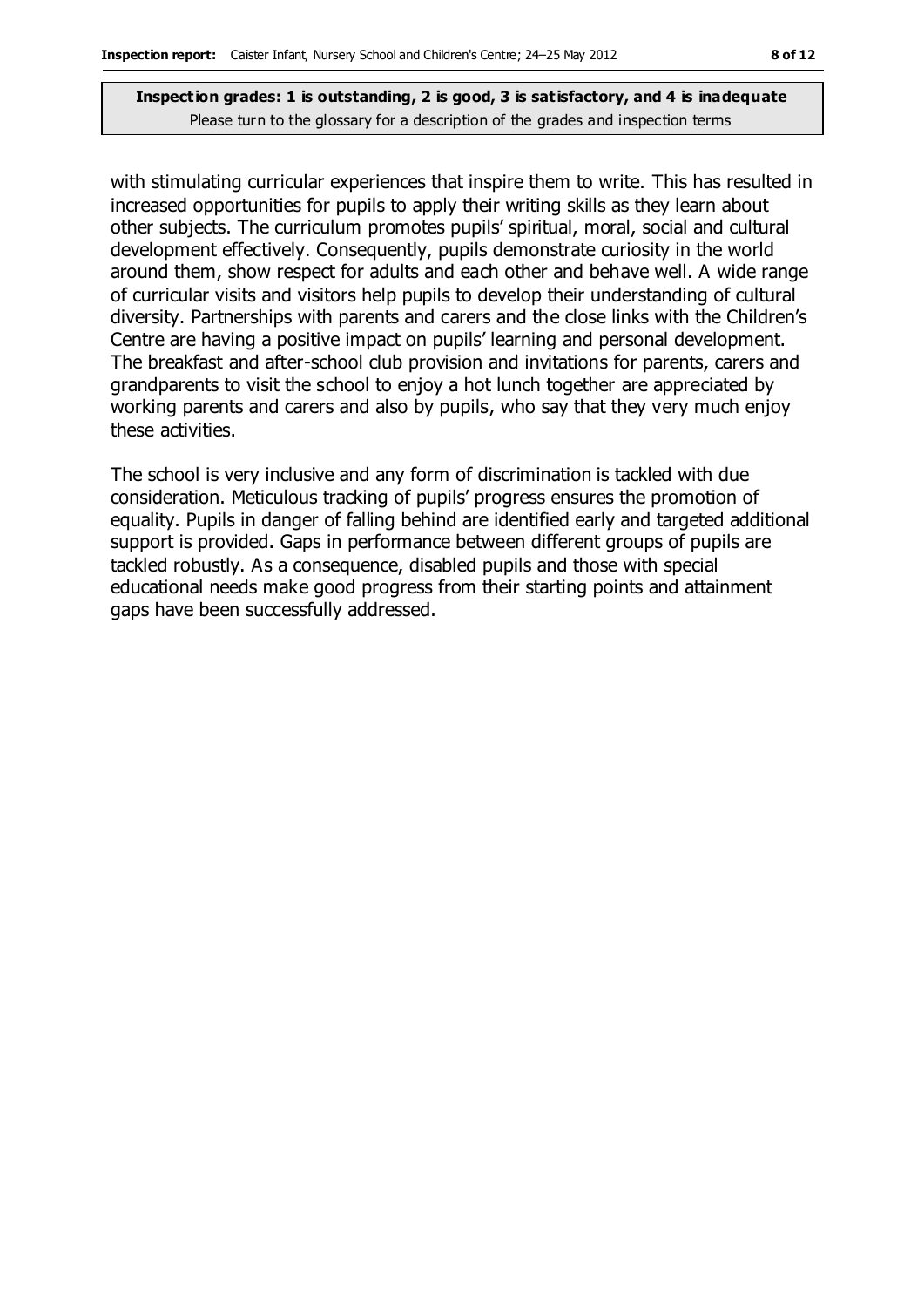with stimulating curricular experiences that inspire them to write. This has resulted in increased opportunities for pupils to apply their writing skills as they learn about other subjects. The curriculum promotes pupils' spiritual, moral, social and cultural development effectively. Consequently, pupils demonstrate curiosity in the world around them, show respect for adults and each other and behave well. A wide range of curricular visits and visitors help pupils to develop their understanding of cultural diversity. Partnerships with parents and carers and the close links with the Children's Centre are having a positive impact on pupils' learning and personal development. The breakfast and after-school club provision and invitations for parents, carers and grandparents to visit the school to enjoy a hot lunch together are appreciated by working parents and carers and also by pupils, who say that they very much enjoy these activities.

The school is very inclusive and any form of discrimination is tackled with due consideration. Meticulous tracking of pupils' progress ensures the promotion of equality. Pupils in danger of falling behind are identified early and targeted additional support is provided. Gaps in performance between different groups of pupils are tackled robustly. As a consequence, disabled pupils and those with special educational needs make good progress from their starting points and attainment gaps have been successfully addressed.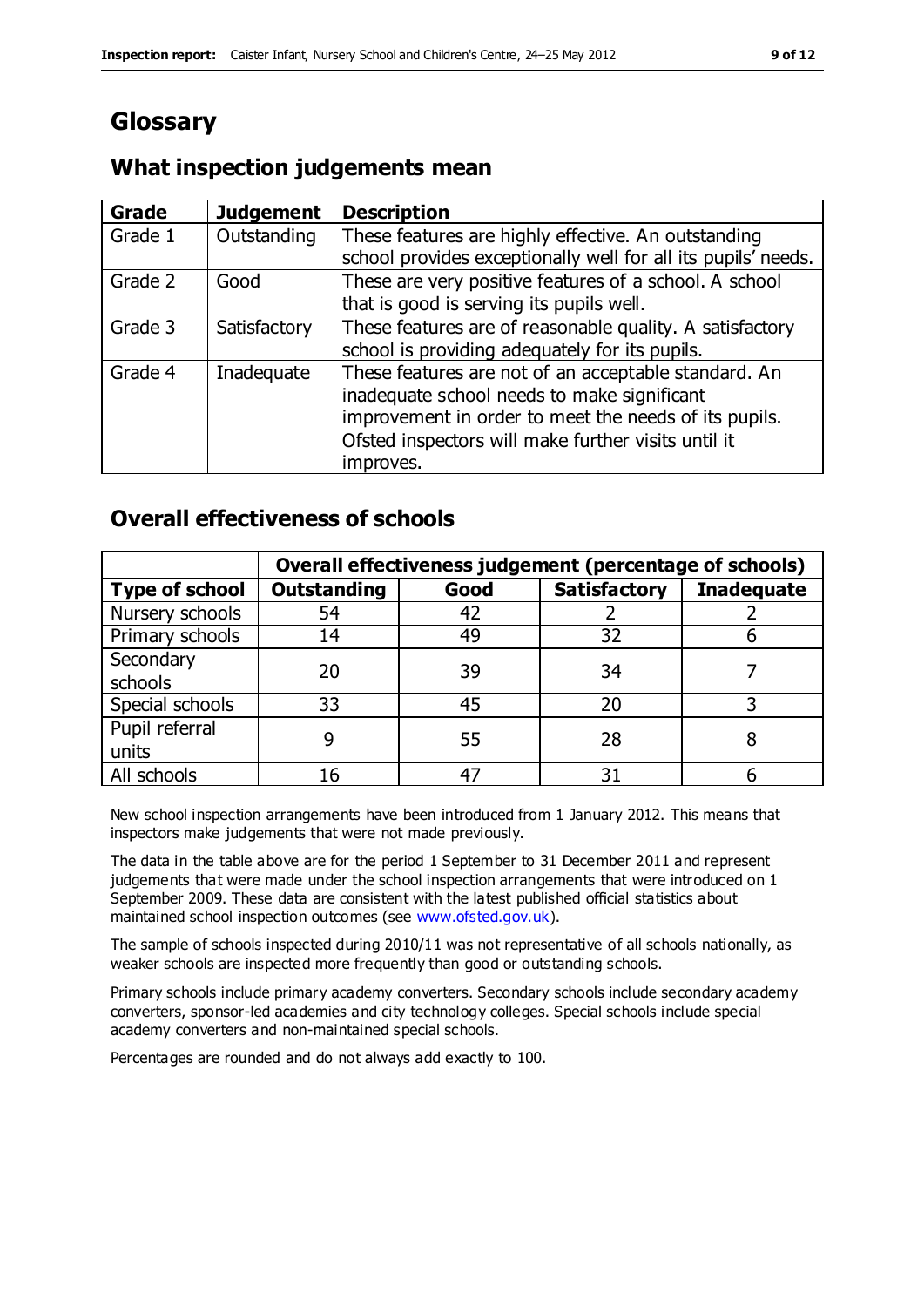# **Glossary**

### **What inspection judgements mean**

| Grade   | <b>Judgement</b> | <b>Description</b>                                            |
|---------|------------------|---------------------------------------------------------------|
| Grade 1 | Outstanding      | These features are highly effective. An outstanding           |
|         |                  | school provides exceptionally well for all its pupils' needs. |
| Grade 2 | Good             | These are very positive features of a school. A school        |
|         |                  | that is good is serving its pupils well.                      |
| Grade 3 | Satisfactory     | These features are of reasonable quality. A satisfactory      |
|         |                  | school is providing adequately for its pupils.                |
| Grade 4 | Inadequate       | These features are not of an acceptable standard. An          |
|         |                  | inadequate school needs to make significant                   |
|         |                  | improvement in order to meet the needs of its pupils.         |
|         |                  | Ofsted inspectors will make further visits until it           |
|         |                  | improves.                                                     |

### **Overall effectiveness of schools**

|                       | Overall effectiveness judgement (percentage of schools) |      |                     |                   |
|-----------------------|---------------------------------------------------------|------|---------------------|-------------------|
| <b>Type of school</b> | <b>Outstanding</b>                                      | Good | <b>Satisfactory</b> | <b>Inadequate</b> |
| Nursery schools       | 54                                                      | 42   |                     |                   |
| Primary schools       | 14                                                      | 49   | 32                  |                   |
| Secondary             | 20                                                      | 39   | 34                  |                   |
| schools               |                                                         |      |                     |                   |
| Special schools       | 33                                                      | 45   | 20                  |                   |
| Pupil referral        |                                                         | 55   | 28                  |                   |
| units                 |                                                         |      |                     |                   |
| All schools           | 16                                                      | 47   | 31                  |                   |

New school inspection arrangements have been introduced from 1 January 2012. This means that inspectors make judgements that were not made previously.

The data in the table above are for the period 1 September to 31 December 2011 and represent judgements that were made under the school inspection arrangements that were introduced on 1 September 2009. These data are consistent with the latest published official statistics about maintained school inspection outcomes (see [www.ofsted.gov.uk\)](http://www.ofsted.gov.uk).

The sample of schools inspected during 2010/11 was not representative of all schools nationally, as weaker schools are inspected more frequently than good or outstanding schools.

Primary schools include primary academy converters. Secondary schools include secondary academy converters, sponsor-led academies and city technology colleges. Special schools include special academy converters and non-maintained special schools.

Percentages are rounded and do not always add exactly to 100.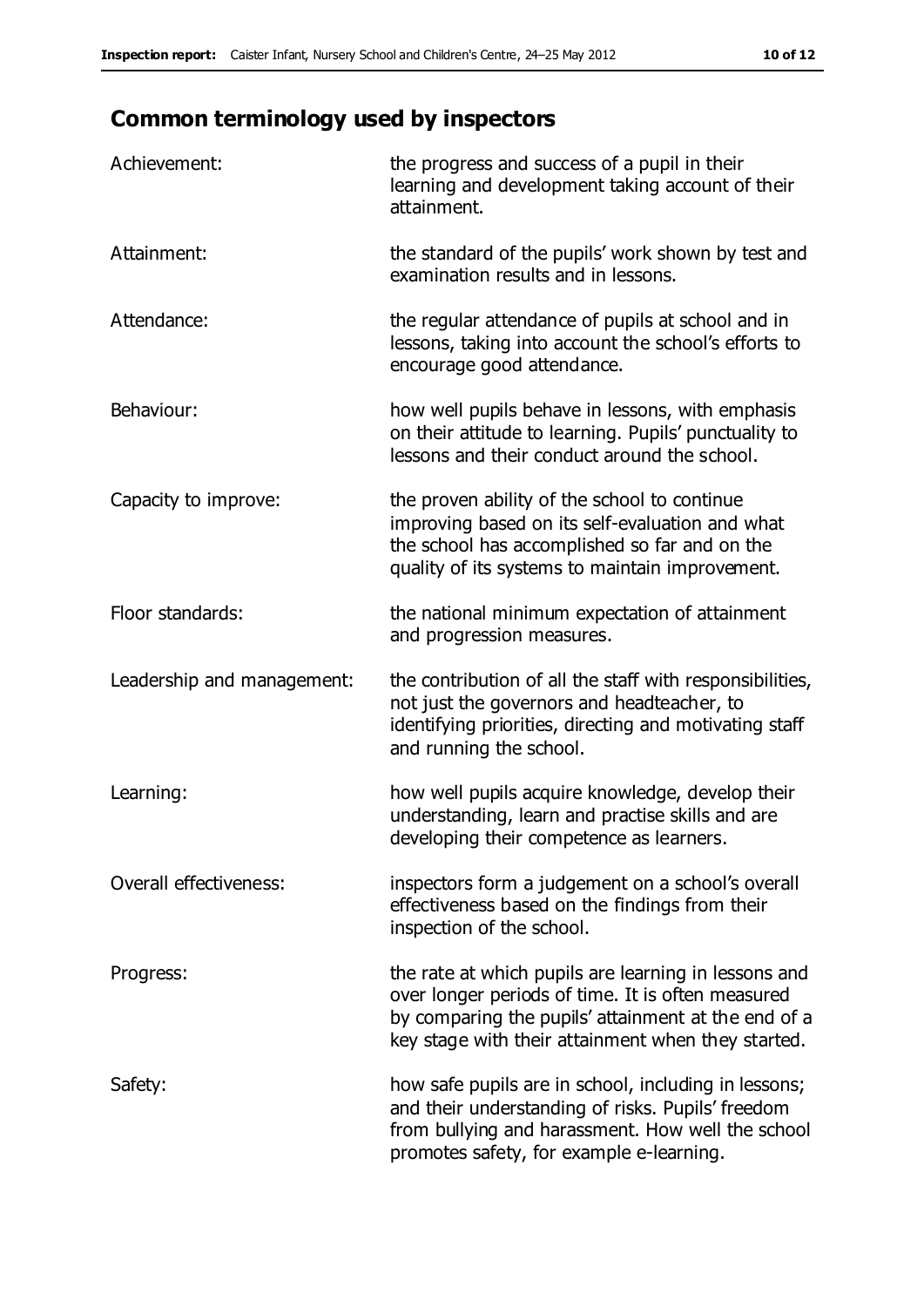# **Common terminology used by inspectors**

| Achievement:                  | the progress and success of a pupil in their<br>learning and development taking account of their<br>attainment.                                                                                                        |
|-------------------------------|------------------------------------------------------------------------------------------------------------------------------------------------------------------------------------------------------------------------|
| Attainment:                   | the standard of the pupils' work shown by test and<br>examination results and in lessons.                                                                                                                              |
| Attendance:                   | the regular attendance of pupils at school and in<br>lessons, taking into account the school's efforts to<br>encourage good attendance.                                                                                |
| Behaviour:                    | how well pupils behave in lessons, with emphasis<br>on their attitude to learning. Pupils' punctuality to<br>lessons and their conduct around the school.                                                              |
| Capacity to improve:          | the proven ability of the school to continue<br>improving based on its self-evaluation and what<br>the school has accomplished so far and on the<br>quality of its systems to maintain improvement.                    |
| Floor standards:              | the national minimum expectation of attainment<br>and progression measures.                                                                                                                                            |
| Leadership and management:    | the contribution of all the staff with responsibilities,<br>not just the governors and headteacher, to<br>identifying priorities, directing and motivating staff<br>and running the school.                            |
| Learning:                     | how well pupils acquire knowledge, develop their<br>understanding, learn and practise skills and are<br>developing their competence as learners.                                                                       |
| <b>Overall effectiveness:</b> | inspectors form a judgement on a school's overall<br>effectiveness based on the findings from their<br>inspection of the school.                                                                                       |
| Progress:                     | the rate at which pupils are learning in lessons and<br>over longer periods of time. It is often measured<br>by comparing the pupils' attainment at the end of a<br>key stage with their attainment when they started. |
| Safety:                       | how safe pupils are in school, including in lessons;<br>and their understanding of risks. Pupils' freedom<br>from bullying and harassment. How well the school<br>promotes safety, for example e-learning.             |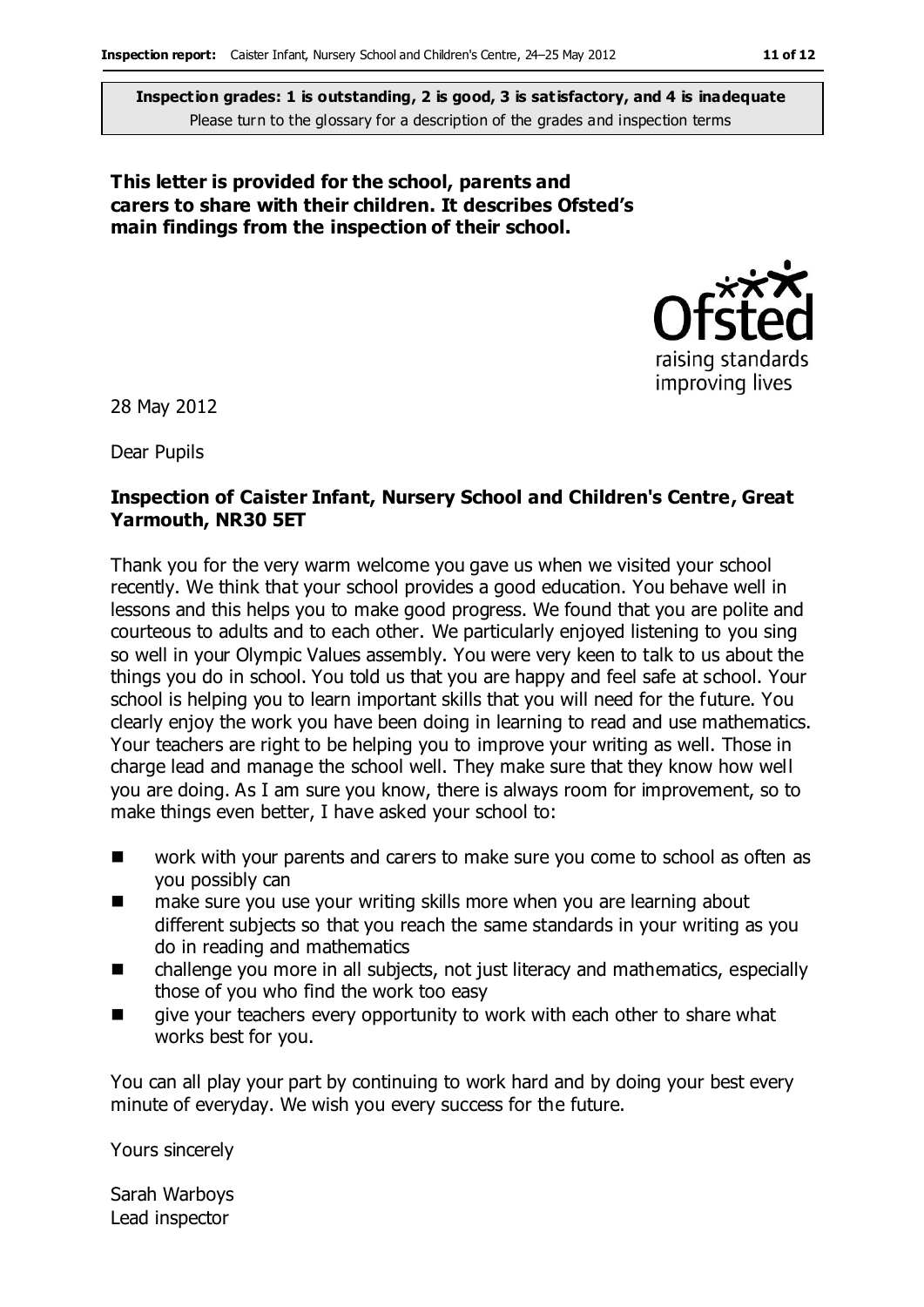#### **This letter is provided for the school, parents and carers to share with their children. It describes Ofsted's main findings from the inspection of their school.**



28 May 2012

Dear Pupils

#### **Inspection of Caister Infant, Nursery School and Children's Centre, Great Yarmouth, NR30 5ET**

Thank you for the very warm welcome you gave us when we visited your school recently. We think that your school provides a good education. You behave well in lessons and this helps you to make good progress. We found that you are polite and courteous to adults and to each other. We particularly enjoyed listening to you sing so well in your Olympic Values assembly. You were very keen to talk to us about the things you do in school. You told us that you are happy and feel safe at school. Your school is helping you to learn important skills that you will need for the future. You clearly enjoy the work you have been doing in learning to read and use mathematics. Your teachers are right to be helping you to improve your writing as well. Those in charge lead and manage the school well. They make sure that they know how well you are doing. As I am sure you know, there is always room for improvement, so to make things even better, I have asked your school to:

- work with your parents and carers to make sure you come to school as often as you possibly can
- make sure you use your writing skills more when you are learning about different subjects so that you reach the same standards in your writing as you do in reading and mathematics
- challenge you more in all subjects, not just literacy and mathematics, especially those of you who find the work too easy
- give your teachers every opportunity to work with each other to share what works best for you.

You can all play your part by continuing to work hard and by doing your best every minute of everyday. We wish you every success for the future.

Yours sincerely

Sarah Warboys Lead inspector